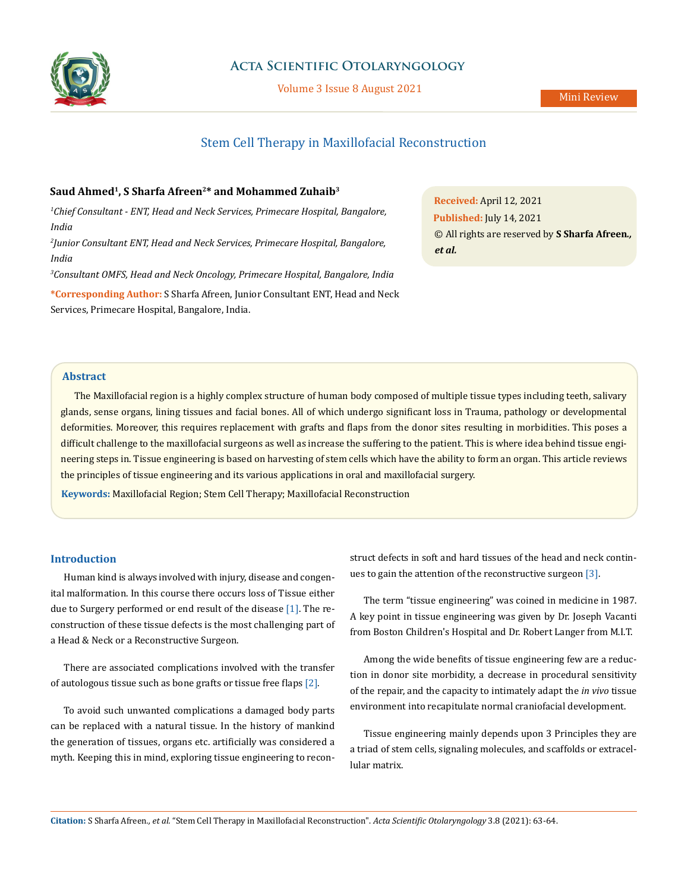

# **Acta Scientific Otolaryngology**

Volume 3 Issue 8 August 2021

# Stem Cell Therapy in Maxillofacial Reconstruction

# Saud Ahmed<sup>1</sup>, S Sharfa Afreen<sup>2\*</sup> and Mohammed Zuhaib<sup>3</sup>

*1 Chief Consultant - ENT, Head and Neck Services, Primecare Hospital, Bangalore, India*

*2 Junior Consultant ENT, Head and Neck Services, Primecare Hospital, Bangalore, India* 

*3 Consultant OMFS, Head and Neck Oncology, Primecare Hospital, Bangalore, India*

**\*Corresponding Author:** S Sharfa Afreen, Junior Consultant ENT, Head and Neck Services, Primecare Hospital, Bangalore, India.

**Received:** April 12, 2021 **Published:** July 14, 2021 © All rights are reserved by **S Sharfa Afreen***., et al.*

# **Abstract**

The Maxillofacial region is a highly complex structure of human body composed of multiple tissue types including teeth, salivary glands, sense organs, lining tissues and facial bones. All of which undergo significant loss in Trauma, pathology or developmental deformities. Moreover, this requires replacement with grafts and flaps from the donor sites resulting in morbidities. This poses a difficult challenge to the maxillofacial surgeons as well as increase the suffering to the patient. This is where idea behind tissue engineering steps in. Tissue engineering is based on harvesting of stem cells which have the ability to form an organ. This article reviews the principles of tissue engineering and its various applications in oral and maxillofacial surgery.

**Keywords:** Maxillofacial Region; Stem Cell Therapy; Maxillofacial Reconstruction

#### **Introduction**

Human kind is always involved with injury, disease and congenital malformation. In this course there occurs loss of Tissue either due to Surgery performed or end result of the disease [1]. The reconstruction of these tissue defects is the most challenging part of a Head & Neck or a Reconstructive Surgeon.

There are associated complications involved with the transfer of autologous tissue such as bone grafts or tissue free flaps [2].

To avoid such unwanted complications a damaged body parts can be replaced with a natural tissue. In the history of mankind the generation of tissues, organs etc. artificially was considered a myth. Keeping this in mind, exploring tissue engineering to reconstruct defects in soft and hard tissues of the head and neck continues to gain the attention of the reconstructive surgeon [3].

The term "tissue engineering" was coined in medicine in 1987. A key point in tissue engineering was given by Dr. Joseph Vacanti from Boston Children's Hospital and Dr. Robert Langer from M.I.T.

Among the wide benefits of tissue engineering few are a reduction in donor site morbidity, a decrease in procedural sensitivity of the repair, and the capacity to intimately adapt the *in vivo* tissue environment into recapitulate normal craniofacial development.

Tissue engineering mainly depends upon 3 Principles they are a triad of stem cells, signaling molecules, and scaffolds or extracellular matrix.